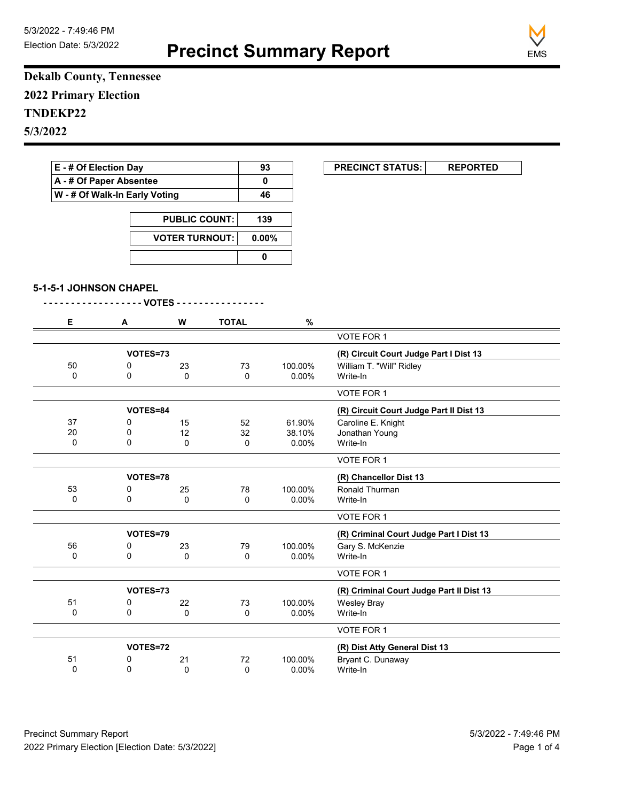**Precinct Summary Report**



**Dekalb County, Tennessee 2022 Primary Election TNDEKP22 5/3/2022**

| E - # Of Election Day<br>A - # Of Paper Absentee<br>W - # Of Walk-In Early Voting |                        |                       |              | 93       | <b>PRECINCT STATUS:</b><br><b>REPORTED</b> |
|-----------------------------------------------------------------------------------|------------------------|-----------------------|--------------|----------|--------------------------------------------|
|                                                                                   |                        |                       |              | 0        |                                            |
|                                                                                   |                        |                       |              | 46       |                                            |
|                                                                                   |                        | <b>PUBLIC COUNT:</b>  |              | 139      |                                            |
|                                                                                   |                        | <b>VOTER TURNOUT:</b> |              | $0.00\%$ |                                            |
|                                                                                   |                        |                       | $\mathbf 0$  |          |                                            |
|                                                                                   | 5-1-5-1 JOHNSON CHAPEL |                       |              |          |                                            |
| Е                                                                                 | A                      | - VOTES - -<br>W      | <b>TOTAL</b> | $\%$     |                                            |
|                                                                                   |                        |                       |              |          | <b>VOTE FOR 1</b>                          |
|                                                                                   |                        | VOTES=73              |              |          | (R) Circuit Court Judge Part I Dist 13     |
| 50                                                                                | 0                      | 23                    | 73           | 100.00%  | William T. "Will" Ridley                   |
| $\Omega$                                                                          | $\Omega$               | $\Omega$              | $\mathbf{0}$ | $0.00\%$ | Write-In                                   |
|                                                                                   |                        |                       |              |          | VOTE FOR 1                                 |
|                                                                                   |                        | VOTES=84              |              |          | (R) Circuit Court Judge Part II Dist 13    |
| 37                                                                                | 0                      | 15                    | 52           | 61.90%   | Caroline E. Knight                         |
| 20                                                                                | 0                      | 12                    | 32           | 38.10%   | Jonathan Young                             |
| $\Omega$                                                                          | 0                      | $\Omega$              | 0            | 0.00%    | Write-In                                   |
|                                                                                   |                        |                       |              |          | VOTE FOR 1                                 |
|                                                                                   |                        |                       |              |          | (R) Chancellor Dist 13                     |
|                                                                                   | VOTES=78               |                       |              |          |                                            |
| 53                                                                                | 0                      | 25                    | 78           | 100.00%  | Ronald Thurman                             |
| 0                                                                                 | 0                      | 0                     | 0            | $0.00\%$ | Write-In                                   |
|                                                                                   |                        |                       |              |          | VOTE FOR 1                                 |
|                                                                                   |                        | VOTES=79              |              |          | (R) Criminal Court Judge Part I Dist 13    |
| 56                                                                                | 0                      | 23                    | 79           | 100.00%  | Gary S. McKenzie                           |
| 0                                                                                 | $\mathbf 0$            | $\Omega$              | 0            | $0.00\%$ | Write-In                                   |

|    | VOTES=73 |    |    |                               | (R) Criminal Court Judge Part II Dist 13 |  |
|----|----------|----|----|-------------------------------|------------------------------------------|--|
| 51 |          | 22 | 73 | 100.00%                       | Wesley Bray                              |  |
|    |          |    | 0  | $0.00\%$                      | Write-In                                 |  |
|    |          |    |    |                               | VOTE FOR 1                               |  |
|    | VOTES=72 |    |    | (R) Dist Atty General Dist 13 |                                          |  |
| 51 |          | 21 | 72 | 100.00%                       | Bryant C. Dunaway                        |  |
|    |          |    | С  | $0.00\%$                      | Write-In                                 |  |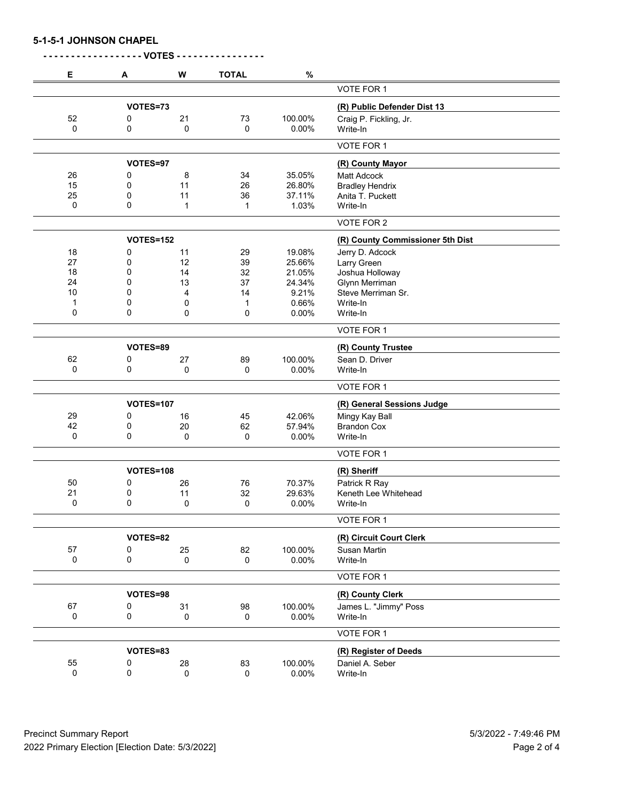| Е           | Α                | W           | <b>TOTAL</b> | $\%$    |                                  |
|-------------|------------------|-------------|--------------|---------|----------------------------------|
|             |                  |             |              |         | <b>VOTE FOR 1</b>                |
|             | VOTES=73         |             |              |         | (R) Public Defender Dist 13      |
| 52          | 0                | 21          | 73           | 100.00% | Craig P. Fickling, Jr.           |
| 0           | 0                | 0           | $\mathbf 0$  | 0.00%   | Write-In                         |
|             |                  |             |              |         | VOTE FOR 1                       |
|             | VOTES=97         |             |              |         | (R) County Mayor                 |
| 26          | 0                | 8           | 34           | 35.05%  | <b>Matt Adcock</b>               |
| 15          | 0                | 11          | 26           | 26.80%  | <b>Bradley Hendrix</b>           |
| 25          | 0                | 11          | 36           | 37.11%  | Anita T. Puckett                 |
| 0           | 0                | 1           | 1            | 1.03%   | Write-In                         |
|             |                  |             |              |         | VOTE FOR 2                       |
|             | <b>VOTES=152</b> |             |              |         | (R) County Commissioner 5th Dist |
| 18          | 0                | 11          | 29           | 19.08%  | Jerry D. Adcock                  |
| 27          | 0                | 12          | 39           | 25.66%  | Larry Green                      |
| 18          | 0                | 14          | 32           | 21.05%  | Joshua Holloway                  |
| 24          | 0                | 13          | 37           | 24.34%  | Glynn Merriman                   |
| 10          | 0                | 4           | 14           | 9.21%   | Steve Merriman Sr.               |
| $\mathbf 1$ | 0                | 0           | 1            | 0.66%   | Write-In                         |
| 0           | 0                | 0           | 0            | 0.00%   | Write-In                         |
|             |                  |             |              |         | VOTE FOR 1                       |
|             | VOTES=89         |             |              |         | (R) County Trustee               |
| 62          | 0                | 27          | 89           | 100.00% | Sean D. Driver                   |
| 0           | 0                | 0           | 0            | 0.00%   | Write-In                         |
|             |                  |             |              |         | VOTE FOR 1                       |
|             | <b>VOTES=107</b> |             |              |         | (R) General Sessions Judge       |
| 29          | 0                | 16          | 45           | 42.06%  | Mingy Kay Ball                   |
| 42          | 0                | 20          | 62           | 57.94%  | <b>Brandon Cox</b>               |
| $\mathbf 0$ | 0                | 0           | 0            | 0.00%   | Write-In                         |
|             |                  |             |              |         | VOTE FOR 1                       |
|             |                  |             |              |         |                                  |
|             | VOTES=108        |             |              |         | (R) Sheriff                      |
| 50          | 0                | 26          | 76           | 70.37%  | Patrick R Ray                    |
| 21          | 0                | 11          | 32           | 29.63%  | Keneth Lee Whitehead             |
| 0           | 0                | 0           | 0            | 0.00%   | Write-In                         |
|             |                  |             |              |         | VOTE FOR 1                       |
|             | VOTES=82         |             |              |         | (R) Circuit Court Clerk          |
| 57          | 0                | 25          | 82           | 100.00% | Susan Martin                     |
| $\pmb{0}$   | 0                | 0           | 0            | 0.00%   | Write-In                         |
|             |                  |             |              |         | VOTE FOR 1                       |
|             | VOTES=98         |             |              |         | (R) County Clerk                 |
| 67          | 0                | 31          | 98           | 100.00% | James L. "Jimmy" Poss            |
| 0           | 0                | 0           | 0            | 0.00%   | Write-In                         |
|             |                  |             |              |         | VOTE FOR 1                       |
|             | VOTES=83         |             |              |         | (R) Register of Deeds            |
| 55          | 0                | 28          | 83           | 100.00% | Daniel A. Seber                  |
| 0           | 0                | $\mathbf 0$ | 0            | 0.00%   | Write-In                         |
|             |                  |             |              |         |                                  |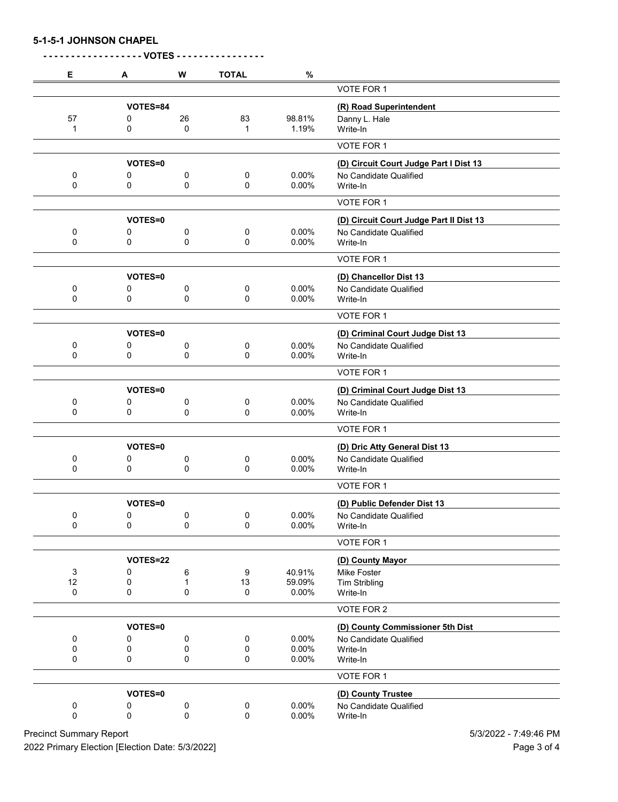**5-1-5-1 JOHNSON CHAPEL**

| Е      | A              | W           | <b>TOTAL</b> | $\%$           |                                         |
|--------|----------------|-------------|--------------|----------------|-----------------------------------------|
|        |                |             |              |                | VOTE FOR 1                              |
|        | VOTES=84       |             |              |                | (R) Road Superintendent                 |
| 57     | 0              | 26          | 83           | 98.81%         | Danny L. Hale                           |
| 1      | 0              | 0           | 1            | 1.19%          | Write-In                                |
|        |                |             |              |                | VOTE FOR 1                              |
|        | VOTES=0        |             |              |                | (D) Circuit Court Judge Part I Dist 13  |
| 0      | 0              | 0           | 0            | 0.00%          | No Candidate Qualified                  |
| 0      | 0              | 0           | 0            | 0.00%          | Write-In                                |
|        |                |             |              |                | VOTE FOR 1                              |
|        | VOTES=0        |             |              |                | (D) Circuit Court Judge Part II Dist 13 |
| 0      | 0              | 0           | 0            | 0.00%          | No Candidate Qualified                  |
| 0      | 0              | 0           | 0            | 0.00%          | Write-In                                |
|        |                |             |              |                | VOTE FOR 1                              |
|        | VOTES=0        |             |              |                | (D) Chancellor Dist 13                  |
| 0      | 0              | 0           | 0            | 0.00%          | No Candidate Qualified                  |
| 0      | 0              | 0           | 0            | 0.00%          | Write-In                                |
|        |                |             |              |                | VOTE FOR 1                              |
|        | VOTES=0        |             |              |                | (D) Criminal Court Judge Dist 13        |
| 0      | 0              | 0           | 0            | 0.00%          | No Candidate Qualified                  |
| 0      | 0              | 0           | 0            | 0.00%          | Write-In                                |
|        |                |             |              |                | VOTE FOR 1                              |
|        | VOTES=0        |             |              |                | (D) Criminal Court Judge Dist 13        |
| 0      | 0              | 0           | 0            | 0.00%          | No Candidate Qualified                  |
| 0      | 0              | 0           | 0            | 0.00%          | Write-In                                |
|        |                |             |              |                | VOTE FOR 1                              |
|        | VOTES=0        |             |              |                | (D) Dric Atty General Dist 13           |
| 0      | 0              | 0           | 0            | 0.00%          | No Candidate Qualified                  |
| 0      | 0              | 0           | 0            | 0.00%          | Write-In                                |
|        |                |             |              |                | VOTE FOR 1                              |
|        | <b>VOTES=0</b> |             |              |                | (D) Public Defender Dist 13             |
| 0      | $\pmb{0}$      | 0           | 0            | 0.00%          | No Candidate Qualified                  |
| 0      | 0              | 0           | 0            | 0.00%          | Write-In                                |
|        |                |             |              |                | VOTE FOR 1                              |
|        | VOTES=22       |             |              |                | (D) County Mayor                        |
| 3      | 0              | 6           | 9            | 40.91%         | Mike Foster                             |
| 12     | 0              | 1           | 13           | 59.09%         | <b>Tim Stribling</b>                    |
| 0      | 0              | 0           | 0            | 0.00%          | Write-In                                |
|        |                |             |              |                | VOTE FOR 2                              |
|        | VOTES=0        |             |              |                | (D) County Commissioner 5th Dist        |
| 0      | 0              | 0           | 0            | 0.00%          | No Candidate Qualified                  |
| 0<br>0 | 0<br>0         | 0<br>0      | 0<br>0       | 0.00%<br>0.00% | Write-In<br>Write-In                    |
|        |                |             |              |                |                                         |
|        |                |             |              |                | VOTE FOR 1                              |
|        | VOTES=0        |             |              |                | (D) County Trustee                      |
| 0      | 0              | 0           | 0            | 0.00%          | No Candidate Qualified                  |
| 0      | 0              | $\mathsf 0$ | $\pmb{0}$    | 0.00%          | Write-In                                |